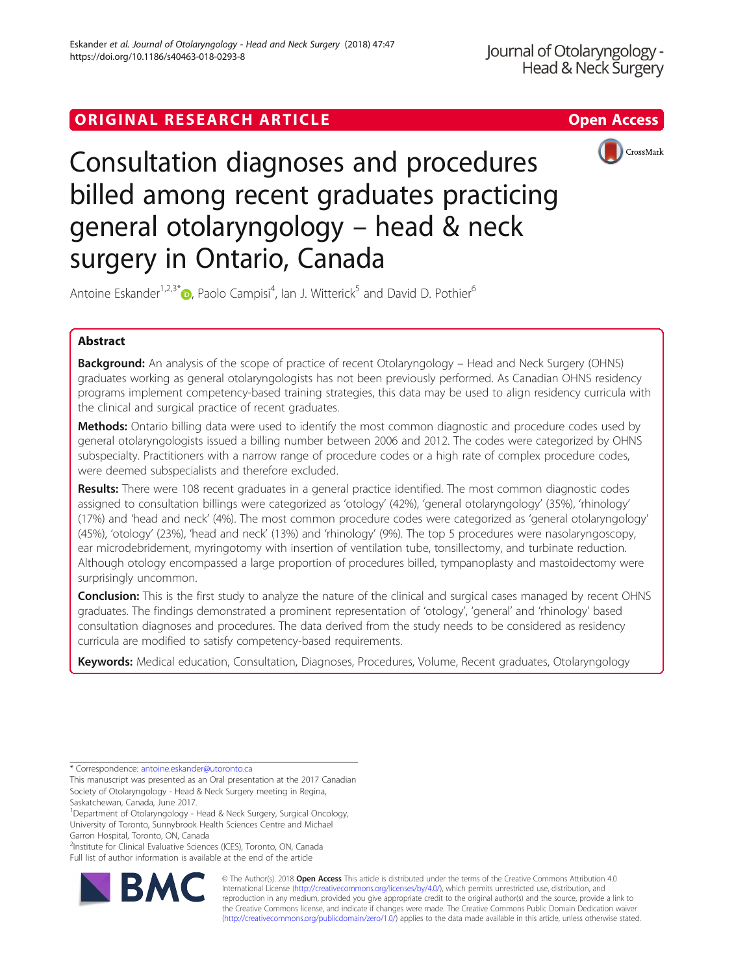# ORIGINAL RESEARCH ARTICLE **External of the Contract Contract Contract Contract Contract Contract Contract Contract Contract Contract Contract Contract Contract Contract Contract Contract Contract Contract Contract Contract**



Consultation diagnoses and procedures billed among recent graduates practicing general otolaryngology – head & neck surgery in Ontario, Canada

Antoine Eskander<sup>1[,](http://orcid.org/0000-0003-4326-1393)2,3\*</sup> D, Paolo Campisi<sup>4</sup>, Ian J. Witterick<sup>5</sup> and David D. Pothier<sup>6</sup>

## Abstract

**Background:** An analysis of the scope of practice of recent Otolaryngology – Head and Neck Surgery (OHNS) graduates working as general otolaryngologists has not been previously performed. As Canadian OHNS residency programs implement competency-based training strategies, this data may be used to align residency curricula with the clinical and surgical practice of recent graduates.

Methods: Ontario billing data were used to identify the most common diagnostic and procedure codes used by general otolaryngologists issued a billing number between 2006 and 2012. The codes were categorized by OHNS subspecialty. Practitioners with a narrow range of procedure codes or a high rate of complex procedure codes, were deemed subspecialists and therefore excluded.

Results: There were 108 recent graduates in a general practice identified. The most common diagnostic codes assigned to consultation billings were categorized as 'otology' (42%), 'general otolaryngology' (35%), 'rhinology' (17%) and 'head and neck' (4%). The most common procedure codes were categorized as 'general otolaryngology' (45%), 'otology' (23%), 'head and neck' (13%) and 'rhinology' (9%). The top 5 procedures were nasolaryngoscopy, ear microdebridement, myringotomy with insertion of ventilation tube, tonsillectomy, and turbinate reduction. Although otology encompassed a large proportion of procedures billed, tympanoplasty and mastoidectomy were surprisingly uncommon.

**Conclusion:** This is the first study to analyze the nature of the clinical and surgical cases managed by recent OHNS graduates. The findings demonstrated a prominent representation of 'otology', 'general' and 'rhinology' based consultation diagnoses and procedures. The data derived from the study needs to be considered as residency curricula are modified to satisfy competency-based requirements.

Keywords: Medical education, Consultation, Diagnoses, Procedures, Volume, Recent graduates, Otolaryngology

<sup>2</sup>Institute for Clinical Evaluative Sciences (ICES), Toronto, ON, Canada Full list of author information is available at the end of the article



© The Author(s). 2018 Open Access This article is distributed under the terms of the Creative Commons Attribution 4.0 International License [\(http://creativecommons.org/licenses/by/4.0/](http://creativecommons.org/licenses/by/4.0/)), which permits unrestricted use, distribution, and reproduction in any medium, provided you give appropriate credit to the original author(s) and the source, provide a link to the Creative Commons license, and indicate if changes were made. The Creative Commons Public Domain Dedication waiver [\(http://creativecommons.org/publicdomain/zero/1.0/](http://creativecommons.org/publicdomain/zero/1.0/)) applies to the data made available in this article, unless otherwise stated.

<sup>\*</sup> Correspondence: [antoine.eskander@utoronto.ca](mailto:antoine.eskander@utoronto.ca)

This manuscript was presented as an Oral presentation at the 2017 Canadian Society of Otolaryngology - Head & Neck Surgery meeting in Regina, Saskatchewan, Canada, June 2017.

<sup>&</sup>lt;sup>1</sup>Department of Otolaryngology - Head & Neck Surgery, Surgical Oncology, University of Toronto, Sunnybrook Health Sciences Centre and Michael Garron Hospital, Toronto, ON, Canada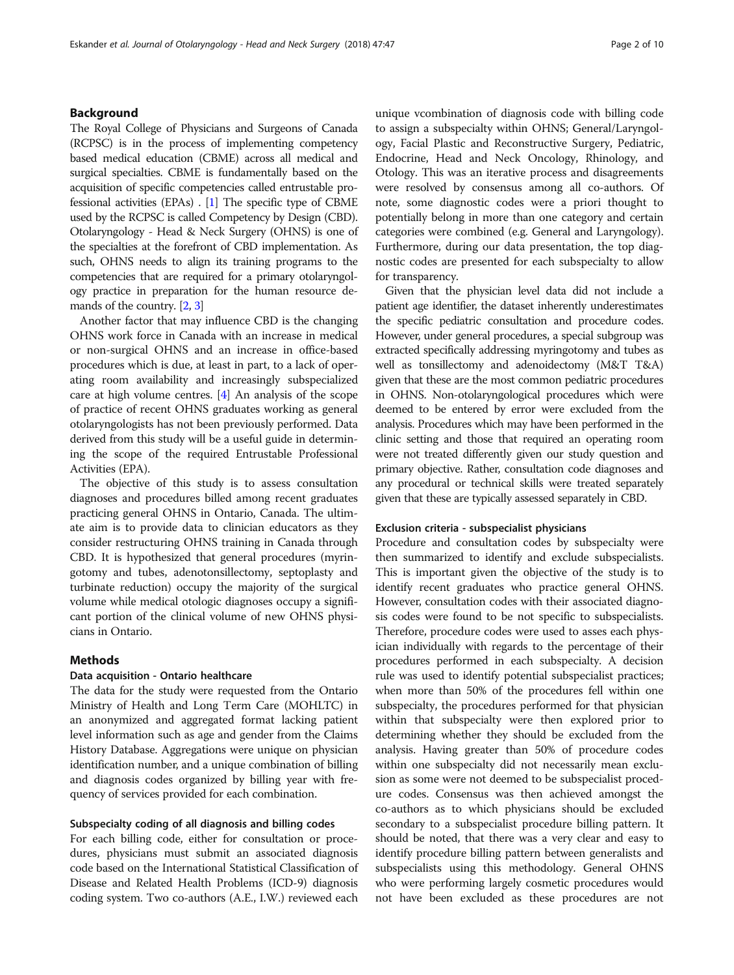## Background

The Royal College of Physicians and Surgeons of Canada (RCPSC) is in the process of implementing competency based medical education (CBME) across all medical and surgical specialties. CBME is fundamentally based on the acquisition of specific competencies called entrustable professional activities (EPAs) . [[1](#page-9-0)] The specific type of CBME used by the RCPSC is called Competency by Design (CBD). Otolaryngology - Head & Neck Surgery (OHNS) is one of the specialties at the forefront of CBD implementation. As such, OHNS needs to align its training programs to the competencies that are required for a primary otolaryngology practice in preparation for the human resource demands of the country. [\[2](#page-9-0), [3](#page-9-0)]

Another factor that may influence CBD is the changing OHNS work force in Canada with an increase in medical or non-surgical OHNS and an increase in office-based procedures which is due, at least in part, to a lack of operating room availability and increasingly subspecialized care at high volume centres. [\[4\]](#page-9-0) An analysis of the scope of practice of recent OHNS graduates working as general otolaryngologists has not been previously performed. Data derived from this study will be a useful guide in determining the scope of the required Entrustable Professional Activities (EPA).

The objective of this study is to assess consultation diagnoses and procedures billed among recent graduates practicing general OHNS in Ontario, Canada. The ultimate aim is to provide data to clinician educators as they consider restructuring OHNS training in Canada through CBD. It is hypothesized that general procedures (myringotomy and tubes, adenotonsillectomy, septoplasty and turbinate reduction) occupy the majority of the surgical volume while medical otologic diagnoses occupy a significant portion of the clinical volume of new OHNS physicians in Ontario.

## Methods

#### Data acquisition - Ontario healthcare

The data for the study were requested from the Ontario Ministry of Health and Long Term Care (MOHLTC) in an anonymized and aggregated format lacking patient level information such as age and gender from the Claims History Database. Aggregations were unique on physician identification number, and a unique combination of billing and diagnosis codes organized by billing year with frequency of services provided for each combination.

## Subspecialty coding of all diagnosis and billing codes

For each billing code, either for consultation or procedures, physicians must submit an associated diagnosis code based on the International Statistical Classification of Disease and Related Health Problems (ICD-9) diagnosis coding system. Two co-authors (A.E., I.W.) reviewed each unique vcombination of diagnosis code with billing code to assign a subspecialty within OHNS; General/Laryngology, Facial Plastic and Reconstructive Surgery, Pediatric, Endocrine, Head and Neck Oncology, Rhinology, and Otology. This was an iterative process and disagreements were resolved by consensus among all co-authors. Of note, some diagnostic codes were a priori thought to potentially belong in more than one category and certain categories were combined (e.g. General and Laryngology). Furthermore, during our data presentation, the top diagnostic codes are presented for each subspecialty to allow for transparency.

Given that the physician level data did not include a patient age identifier, the dataset inherently underestimates the specific pediatric consultation and procedure codes. However, under general procedures, a special subgroup was extracted specifically addressing myringotomy and tubes as well as tonsillectomy and adenoidectomy (M&T T&A) given that these are the most common pediatric procedures in OHNS. Non-otolaryngological procedures which were deemed to be entered by error were excluded from the analysis. Procedures which may have been performed in the clinic setting and those that required an operating room were not treated differently given our study question and primary objective. Rather, consultation code diagnoses and any procedural or technical skills were treated separately given that these are typically assessed separately in CBD.

## Exclusion criteria - subspecialist physicians

Procedure and consultation codes by subspecialty were then summarized to identify and exclude subspecialists. This is important given the objective of the study is to identify recent graduates who practice general OHNS. However, consultation codes with their associated diagnosis codes were found to be not specific to subspecialists. Therefore, procedure codes were used to asses each physician individually with regards to the percentage of their procedures performed in each subspecialty. A decision rule was used to identify potential subspecialist practices; when more than 50% of the procedures fell within one subspecialty, the procedures performed for that physician within that subspecialty were then explored prior to determining whether they should be excluded from the analysis. Having greater than 50% of procedure codes within one subspecialty did not necessarily mean exclusion as some were not deemed to be subspecialist procedure codes. Consensus was then achieved amongst the co-authors as to which physicians should be excluded secondary to a subspecialist procedure billing pattern. It should be noted, that there was a very clear and easy to identify procedure billing pattern between generalists and subspecialists using this methodology. General OHNS who were performing largely cosmetic procedures would not have been excluded as these procedures are not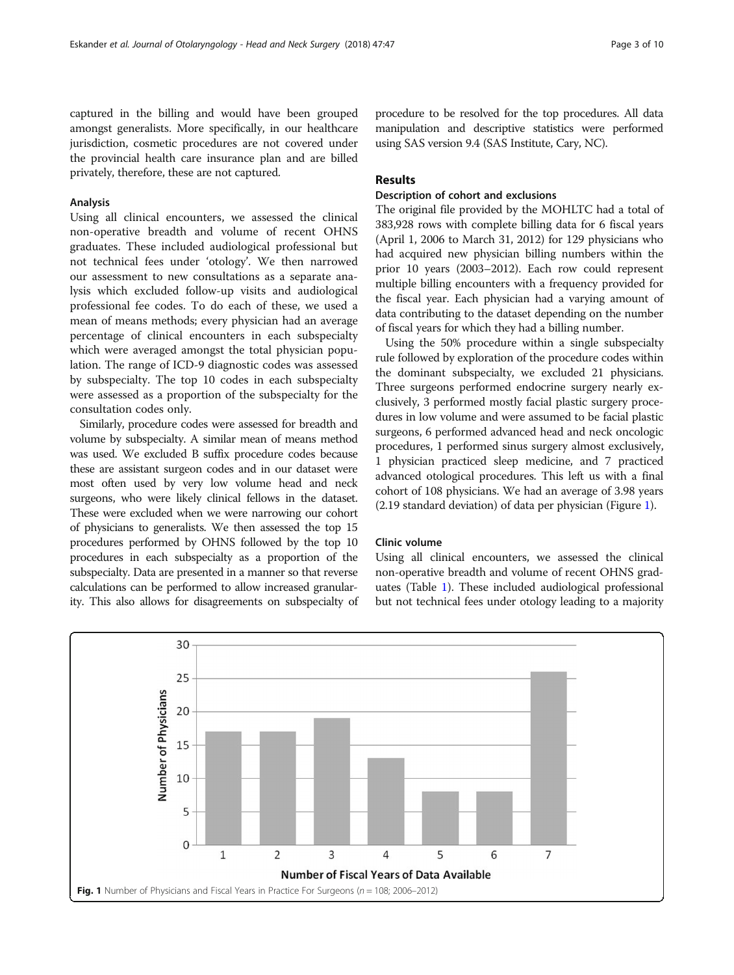captured in the billing and would have been grouped amongst generalists. More specifically, in our healthcare jurisdiction, cosmetic procedures are not covered under the provincial health care insurance plan and are billed privately, therefore, these are not captured.

## Analysis

Using all clinical encounters, we assessed the clinical non-operative breadth and volume of recent OHNS graduates. These included audiological professional but not technical fees under 'otology'. We then narrowed our assessment to new consultations as a separate analysis which excluded follow-up visits and audiological professional fee codes. To do each of these, we used a mean of means methods; every physician had an average percentage of clinical encounters in each subspecialty which were averaged amongst the total physician population. The range of ICD-9 diagnostic codes was assessed by subspecialty. The top 10 codes in each subspecialty were assessed as a proportion of the subspecialty for the consultation codes only.

Similarly, procedure codes were assessed for breadth and volume by subspecialty. A similar mean of means method was used. We excluded B suffix procedure codes because these are assistant surgeon codes and in our dataset were most often used by very low volume head and neck surgeons, who were likely clinical fellows in the dataset. These were excluded when we were narrowing our cohort of physicians to generalists. We then assessed the top 15 procedures performed by OHNS followed by the top 10 procedures in each subspecialty as a proportion of the subspecialty. Data are presented in a manner so that reverse calculations can be performed to allow increased granularity. This also allows for disagreements on subspecialty of procedure to be resolved for the top procedures. All data manipulation and descriptive statistics were performed using SAS version 9.4 (SAS Institute, Cary, NC).

## Results

## Description of cohort and exclusions

The original file provided by the MOHLTC had a total of 383,928 rows with complete billing data for 6 fiscal years (April 1, 2006 to March 31, 2012) for 129 physicians who had acquired new physician billing numbers within the prior 10 years (2003–2012). Each row could represent multiple billing encounters with a frequency provided for the fiscal year. Each physician had a varying amount of data contributing to the dataset depending on the number of fiscal years for which they had a billing number.

Using the 50% procedure within a single subspecialty rule followed by exploration of the procedure codes within the dominant subspecialty, we excluded 21 physicians. Three surgeons performed endocrine surgery nearly exclusively, 3 performed mostly facial plastic surgery procedures in low volume and were assumed to be facial plastic surgeons, 6 performed advanced head and neck oncologic procedures, 1 performed sinus surgery almost exclusively, 1 physician practiced sleep medicine, and 7 practiced advanced otological procedures. This left us with a final cohort of 108 physicians. We had an average of 3.98 years (2.19 standard deviation) of data per physician (Figure 1).

## Clinic volume

Using all clinical encounters, we assessed the clinical non-operative breadth and volume of recent OHNS graduates (Table [1](#page-3-0)). These included audiological professional but not technical fees under otology leading to a majority

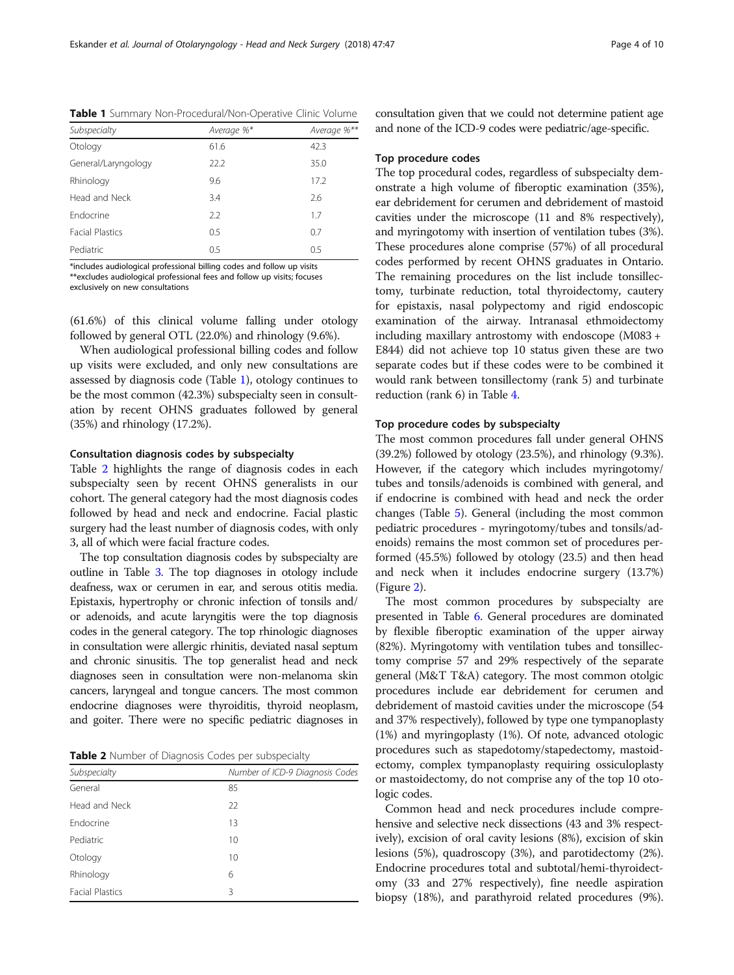| Subspecialty           | Average %* | Average %** |
|------------------------|------------|-------------|
| Otology                | 61.6       | 42.3        |
| General/Laryngology    | 22.2       | 35.0        |
| Rhinology              | 9.6        | 17.2        |
| Head and Neck          | 3.4        | 2.6         |
| Endocrine              | 2.2        | 1.7         |
| <b>Facial Plastics</b> | 0.5        | 0.7         |
| Pediatric              | 0.5        | 0.5         |

<span id="page-3-0"></span>Table 1 Summary Non-Procedural/Non-Operative Clinic Volume

\*includes audiological professional billing codes and follow up visits \*\*excludes audiological professional fees and follow up visits; focuses exclusively on new consultations

(61.6%) of this clinical volume falling under otology followed by general OTL (22.0%) and rhinology (9.6%).

When audiological professional billing codes and follow up visits were excluded, and only new consultations are assessed by diagnosis code (Table 1), otology continues to be the most common (42.3%) subspecialty seen in consultation by recent OHNS graduates followed by general (35%) and rhinology (17.2%).

## Consultation diagnosis codes by subspecialty

Table 2 highlights the range of diagnosis codes in each subspecialty seen by recent OHNS generalists in our cohort. The general category had the most diagnosis codes followed by head and neck and endocrine. Facial plastic surgery had the least number of diagnosis codes, with only 3, all of which were facial fracture codes.

The top consultation diagnosis codes by subspecialty are outline in Table [3.](#page-4-0) The top diagnoses in otology include deafness, wax or cerumen in ear, and serous otitis media. Epistaxis, hypertrophy or chronic infection of tonsils and/ or adenoids, and acute laryngitis were the top diagnosis codes in the general category. The top rhinologic diagnoses in consultation were allergic rhinitis, deviated nasal septum and chronic sinusitis. The top generalist head and neck diagnoses seen in consultation were non-melanoma skin cancers, laryngeal and tongue cancers. The most common endocrine diagnoses were thyroiditis, thyroid neoplasm, and goiter. There were no specific pediatric diagnoses in

**Table 2** Number of Diagnosis Codes per subspecialty

| Subspecialty           | Number of ICD-9 Diagnosis Codes |
|------------------------|---------------------------------|
| General                | 85                              |
| Head and Neck          | 22                              |
| Endocrine              | 13                              |
| Pediatric              | 10                              |
| Otology                | 10                              |
| Rhinology              | 6                               |
| <b>Facial Plastics</b> | 3                               |

consultation given that we could not determine patient age and none of the ICD-9 codes were pediatric/age-specific.

#### Top procedure codes

The top procedural codes, regardless of subspecialty demonstrate a high volume of fiberoptic examination (35%), ear debridement for cerumen and debridement of mastoid cavities under the microscope (11 and 8% respectively), and myringotomy with insertion of ventilation tubes (3%). These procedures alone comprise (57%) of all procedural codes performed by recent OHNS graduates in Ontario. The remaining procedures on the list include tonsillectomy, turbinate reduction, total thyroidectomy, cautery for epistaxis, nasal polypectomy and rigid endoscopic examination of the airway. Intranasal ethmoidectomy including maxillary antrostomy with endoscope (M083 + E844) did not achieve top 10 status given these are two separate codes but if these codes were to be combined it would rank between tonsillectomy (rank 5) and turbinate reduction (rank 6) in Table [4.](#page-5-0)

## Top procedure codes by subspecialty

The most common procedures fall under general OHNS (39.2%) followed by otology (23.5%), and rhinology (9.3%). However, if the category which includes myringotomy/ tubes and tonsils/adenoids is combined with general, and if endocrine is combined with head and neck the order changes (Table [5\)](#page-5-0). General (including the most common pediatric procedures - myringotomy/tubes and tonsils/adenoids) remains the most common set of procedures performed (45.5%) followed by otology (23.5) and then head and neck when it includes endocrine surgery (13.7%) (Figure [2](#page-6-0)).

The most common procedures by subspecialty are presented in Table [6.](#page-7-0) General procedures are dominated by flexible fiberoptic examination of the upper airway (82%). Myringotomy with ventilation tubes and tonsillectomy comprise 57 and 29% respectively of the separate general (M&T T&A) category. The most common otolgic procedures include ear debridement for cerumen and debridement of mastoid cavities under the microscope (54 and 37% respectively), followed by type one tympanoplasty (1%) and myringoplasty (1%). Of note, advanced otologic procedures such as stapedotomy/stapedectomy, mastoidectomy, complex tympanoplasty requiring ossiculoplasty or mastoidectomy, do not comprise any of the top 10 otologic codes.

Common head and neck procedures include comprehensive and selective neck dissections (43 and 3% respectively), excision of oral cavity lesions (8%), excision of skin lesions (5%), quadroscopy (3%), and parotidectomy (2%). Endocrine procedures total and subtotal/hemi-thyroidectomy (33 and 27% respectively), fine needle aspiration biopsy (18%), and parathyroid related procedures (9%).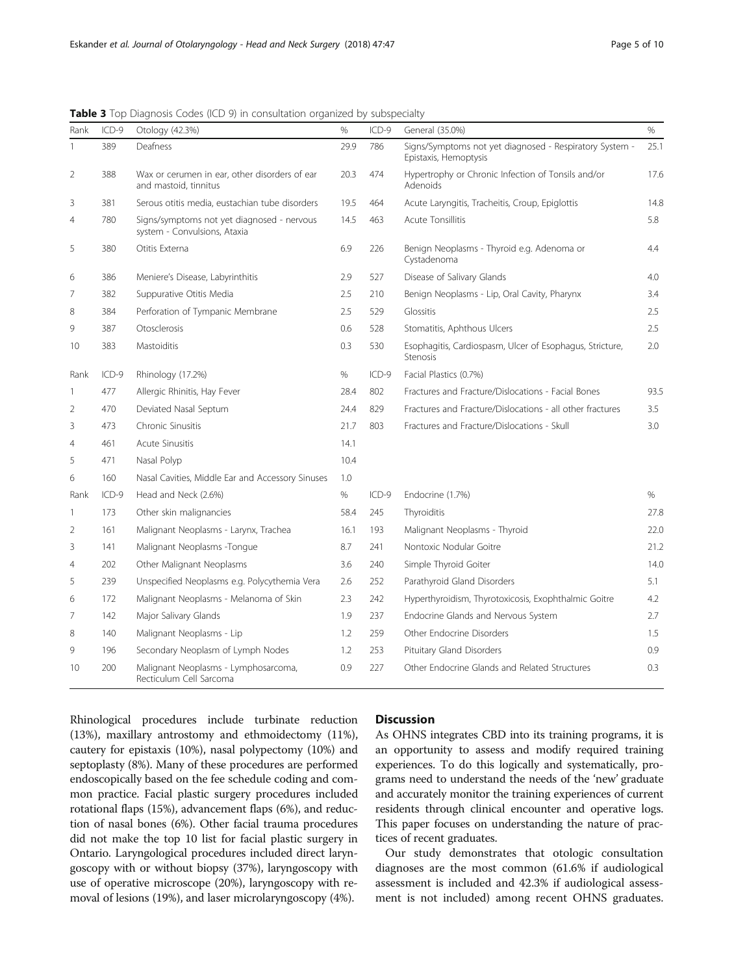| Rank           | $ICD-9$ | Otology (42.3%)                                                            | $\%$ | $ICD-9$ | General (35.0%)                                                                  | $\%$ |
|----------------|---------|----------------------------------------------------------------------------|------|---------|----------------------------------------------------------------------------------|------|
|                | 389     | Deafness                                                                   | 29.9 | 786     | Signs/Symptoms not yet diagnosed - Respiratory System -<br>Epistaxis, Hemoptysis | 25.1 |
| $\overline{2}$ | 388     | Wax or cerumen in ear, other disorders of ear<br>and mastoid, tinnitus     | 20.3 | 474     | Hypertrophy or Chronic Infection of Tonsils and/or<br>Adenoids                   | 17.6 |
| 3              | 381     | Serous otitis media, eustachian tube disorders                             | 19.5 | 464     | Acute Laryngitis, Tracheitis, Croup, Epiglottis                                  | 14.8 |
| 4              | 780     | Signs/symptoms not yet diagnosed - nervous<br>system - Convulsions, Ataxia | 14.5 | 463     | <b>Acute Tonsillitis</b>                                                         | 5.8  |
| 5              | 380     | Otitis Externa                                                             | 6.9  | 226     | Benign Neoplasms - Thyroid e.g. Adenoma or<br>Cystadenoma                        | 4.4  |
| 6              | 386     | Meniere's Disease, Labyrinthitis                                           | 2.9  | 527     | Disease of Salivary Glands                                                       | 4.0  |
| 7              | 382     | Suppurative Otitis Media                                                   | 2.5  | 210     | Benign Neoplasms - Lip, Oral Cavity, Pharynx                                     | 3.4  |
| 8              | 384     | Perforation of Tympanic Membrane                                           | 2.5  | 529     | Glossitis                                                                        | 2.5  |
| 9              | 387     | Otosclerosis                                                               | 0.6  | 528     | Stomatitis, Aphthous Ulcers                                                      | 2.5  |
| 10             | 383     | Mastoiditis                                                                | 0.3  | 530     | Esophagitis, Cardiospasm, Ulcer of Esophagus, Stricture,<br><b>Stenosis</b>      | 2.0  |
| Rank           | $ICD-9$ | Rhinology (17.2%)                                                          | $\%$ | $ICD-9$ | Facial Plastics (0.7%)                                                           |      |
| -1             | 477     | Allergic Rhinitis, Hay Fever                                               | 28.4 | 802     | Fractures and Fracture/Dislocations - Facial Bones                               | 93.5 |
| 2              | 470     | Deviated Nasal Septum                                                      | 24.4 | 829     | Fractures and Fracture/Dislocations - all other fractures                        | 3.5  |
| 3              | 473     | Chronic Sinusitis                                                          | 21.7 | 803     | Fractures and Fracture/Dislocations - Skull                                      | 3.0  |
| $\overline{4}$ | 461     | <b>Acute Sinusitis</b>                                                     | 14.1 |         |                                                                                  |      |
| 5              | 471     | Nasal Polyp                                                                | 10.4 |         |                                                                                  |      |
| 6              | 160     | Nasal Cavities, Middle Ear and Accessory Sinuses                           | 1.0  |         |                                                                                  |      |
| Rank           | $ICD-9$ | Head and Neck (2.6%)                                                       | $\%$ | $ICD-9$ | Endocrine (1.7%)                                                                 | $\%$ |
| $\mathbf{1}$   | 173     | Other skin malignancies                                                    | 58.4 | 245     | Thyroiditis                                                                      | 27.8 |
| 2              | 161     | Malignant Neoplasms - Larynx, Trachea                                      | 16.1 | 193     | Malignant Neoplasms - Thyroid                                                    | 22C  |
| 3              | 141     | Malignant Neoplasms -Tongue                                                | 8.7  | 241     | Nontoxic Nodular Goitre                                                          | 21.2 |
| 4              | 202     | Other Malignant Neoplasms                                                  | 3.6  | 240     | Simple Thyroid Goiter                                                            | 14.0 |
| 5              | 239     | Unspecified Neoplasms e.g. Polycythemia Vera                               | 2.6  | 252     | Parathyroid Gland Disorders                                                      | 5.1  |
| 6              | 172     | Malignant Neoplasms - Melanoma of Skin                                     | 2.3  | 242     | Hyperthyroidism, Thyrotoxicosis, Exophthalmic Goitre                             | 4.2  |
| 7              | 142     | Major Salivary Glands                                                      | 1.9  | 237     | Endocrine Glands and Nervous System                                              | 2.7  |
| 8              | 140     | Malignant Neoplasms - Lip                                                  | 1.2  | 259     | Other Endocrine Disorders                                                        | 1.5  |
| 9              | 196     | Secondary Neoplasm of Lymph Nodes                                          | 1.2  | 253     | Pituitary Gland Disorders                                                        | 0.9  |
| 10             | 200     | Malignant Neoplasms - Lymphosarcoma,<br>Recticulum Cell Sarcoma            | 0.9  | 227     | Other Endocrine Glands and Related Structures                                    | 0.3  |

<span id="page-4-0"></span>Table 3 Top Diagnosis Codes (ICD 9) in consultation organized by subspecialty

Rhinological procedures include turbinate reduction (13%), maxillary antrostomy and ethmoidectomy (11%), cautery for epistaxis (10%), nasal polypectomy (10%) and septoplasty (8%). Many of these procedures are performed endoscopically based on the fee schedule coding and common practice. Facial plastic surgery procedures included rotational flaps (15%), advancement flaps (6%), and reduction of nasal bones (6%). Other facial trauma procedures did not make the top 10 list for facial plastic surgery in Ontario. Laryngological procedures included direct laryngoscopy with or without biopsy (37%), laryngoscopy with use of operative microscope (20%), laryngoscopy with removal of lesions (19%), and laser microlaryngoscopy (4%).

## **Discussion**

As OHNS integrates CBD into its training programs, it is an opportunity to assess and modify required training experiences. To do this logically and systematically, programs need to understand the needs of the 'new' graduate and accurately monitor the training experiences of current residents through clinical encounter and operative logs. This paper focuses on understanding the nature of practices of recent graduates.

Our study demonstrates that otologic consultation diagnoses are the most common (61.6% if audiological assessment is included and 42.3% if audiological assessment is not included) among recent OHNS graduates.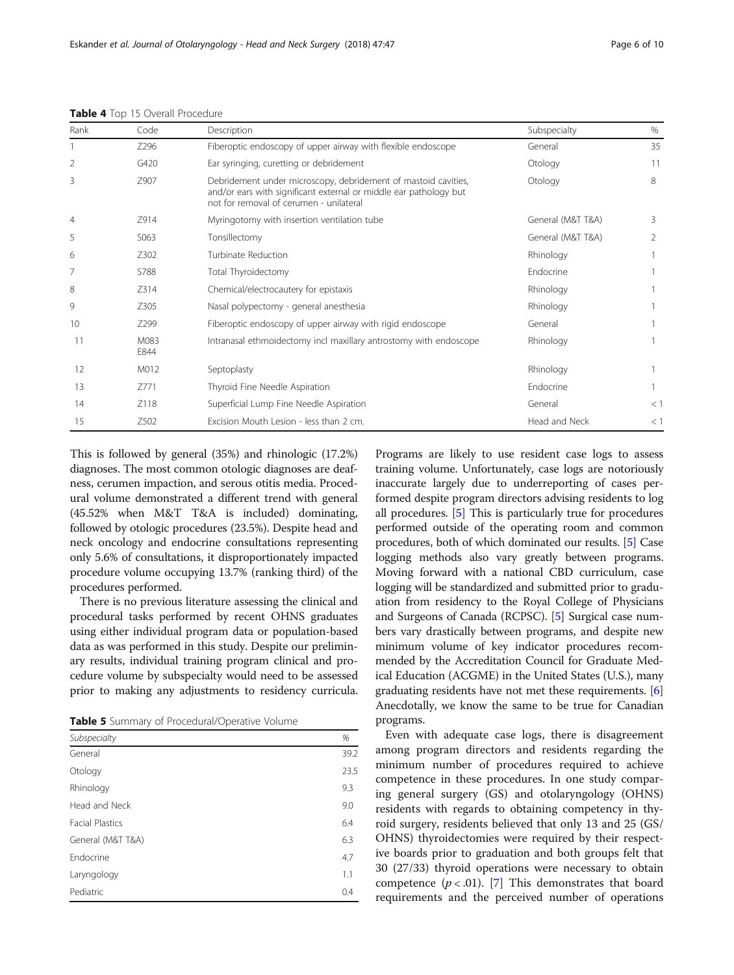<span id="page-5-0"></span>

|  |  |  |  |  | Table 4 Top 15 Overall Procedure |
|--|--|--|--|--|----------------------------------|
|--|--|--|--|--|----------------------------------|

| Rank | Code         | Description                                                                                                                                                                    | Subspecialty      | $\%$     |
|------|--------------|--------------------------------------------------------------------------------------------------------------------------------------------------------------------------------|-------------------|----------|
|      | Z296         | Fiberoptic endoscopy of upper airway with flexible endoscope                                                                                                                   | General           | 35       |
| 2    | G420         | Ear syringing, curetting or debridement                                                                                                                                        | Otology           | 11       |
| 3    | Z907         | Debridement under microscopy, debridement of mastoid cavities,<br>and/or ears with significant external or middle ear pathology but<br>not for removal of cerumen - unilateral | Otology           | 8        |
| 4    | 7914         | Myringotomy with insertion ventilation tube                                                                                                                                    | General (M&T T&A) | 3        |
| 5    | S063         | Tonsillectomy                                                                                                                                                                  | General (M&T T&A) | 2        |
| 6    | Z302         | Turbinate Reduction                                                                                                                                                            | Rhinology         |          |
| 7    | S788         | Total Thyroidectomy                                                                                                                                                            | Endocrine         |          |
| 8    | 7314         | Chemical/electrocautery for epistaxis                                                                                                                                          | Rhinology         |          |
| 9    | Z305         | Nasal polypectomy - general anesthesia                                                                                                                                         | Rhinology         |          |
| 10   | Z299         | Fiberoptic endoscopy of upper airway with rigid endoscope                                                                                                                      | General           |          |
| 11   | M083<br>E844 | Intranasal ethmoidectomy incl maxillary antrostomy with endoscope                                                                                                              | Rhinology         |          |
| 12   | M012         | Septoplasty                                                                                                                                                                    | Rhinology         |          |
| 13   | Z771         | Thyroid Fine Needle Aspiration                                                                                                                                                 | Endocrine         |          |
| 14   | 7118         | Superficial Lump Fine Needle Aspiration                                                                                                                                        | General           | $<$ 1    |
| 15   | Z502         | Excision Mouth Lesion - less than 2 cm.                                                                                                                                        | Head and Neck     | $\leq$ 1 |

This is followed by general (35%) and rhinologic (17.2%) diagnoses. The most common otologic diagnoses are deafness, cerumen impaction, and serous otitis media. Procedural volume demonstrated a different trend with general (45.52% when M&T T&A is included) dominating, followed by otologic procedures (23.5%). Despite head and neck oncology and endocrine consultations representing only 5.6% of consultations, it disproportionately impacted procedure volume occupying 13.7% (ranking third) of the procedures performed.

There is no previous literature assessing the clinical and procedural tasks performed by recent OHNS graduates using either individual program data or population-based data as was performed in this study. Despite our preliminary results, individual training program clinical and procedure volume by subspecialty would need to be assessed prior to making any adjustments to residency curricula.

|  |  | Table 5 Summary of Procedural/Operative Volume |  |
|--|--|------------------------------------------------|--|
|--|--|------------------------------------------------|--|

| Subspecialty           | %    |
|------------------------|------|
| General                | 39.2 |
| Otology                | 23.5 |
| Rhinology              | 9.3  |
| Head and Neck          | 9.0  |
| <b>Facial Plastics</b> | 6.4  |
| General (M&T T&A)      | 6.3  |
| Endocrine              | 4.7  |
| Laryngology            | 1.1  |
| Pediatric              | 0.4  |

Programs are likely to use resident case logs to assess training volume. Unfortunately, case logs are notoriously inaccurate largely due to underreporting of cases performed despite program directors advising residents to log all procedures. [[5\]](#page-9-0) This is particularly true for procedures performed outside of the operating room and common procedures, both of which dominated our results. [[5\]](#page-9-0) Case logging methods also vary greatly between programs. Moving forward with a national CBD curriculum, case logging will be standardized and submitted prior to graduation from residency to the Royal College of Physicians and Surgeons of Canada (RCPSC). [\[5](#page-9-0)] Surgical case numbers vary drastically between programs, and despite new minimum volume of key indicator procedures recommended by the Accreditation Council for Graduate Medical Education (ACGME) in the United States (U.S.), many graduating residents have not met these requirements. [[6](#page-9-0)] Anecdotally, we know the same to be true for Canadian programs.

Even with adequate case logs, there is disagreement among program directors and residents regarding the minimum number of procedures required to achieve competence in these procedures. In one study comparing general surgery (GS) and otolaryngology (OHNS) residents with regards to obtaining competency in thyroid surgery, residents believed that only 13 and 25 (GS/ OHNS) thyroidectomies were required by their respective boards prior to graduation and both groups felt that 30 (27/33) thyroid operations were necessary to obtain competence  $(p < .01)$ . [[7](#page-9-0)] This demonstrates that board requirements and the perceived number of operations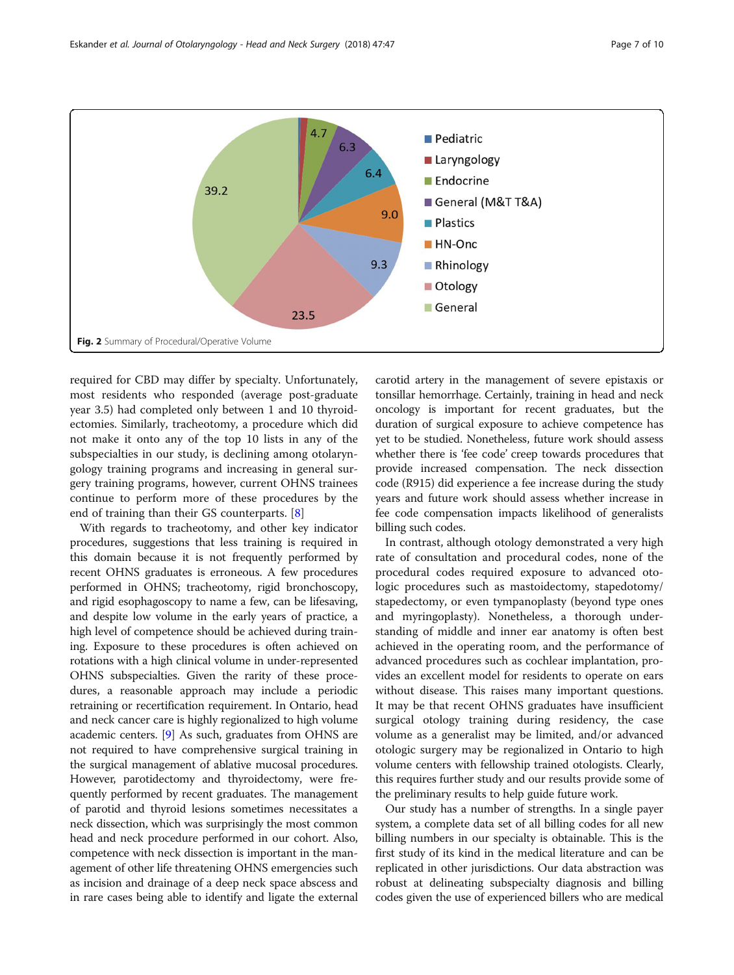<span id="page-6-0"></span>

required for CBD may differ by specialty. Unfortunately, most residents who responded (average post-graduate year 3.5) had completed only between 1 and 10 thyroidectomies. Similarly, tracheotomy, a procedure which did not make it onto any of the top 10 lists in any of the subspecialties in our study, is declining among otolaryngology training programs and increasing in general surgery training programs, however, current OHNS trainees continue to perform more of these procedures by the end of training than their GS counterparts. [\[8](#page-9-0)]

With regards to tracheotomy, and other key indicator procedures, suggestions that less training is required in this domain because it is not frequently performed by recent OHNS graduates is erroneous. A few procedures performed in OHNS; tracheotomy, rigid bronchoscopy, and rigid esophagoscopy to name a few, can be lifesaving, and despite low volume in the early years of practice, a high level of competence should be achieved during training. Exposure to these procedures is often achieved on rotations with a high clinical volume in under-represented OHNS subspecialties. Given the rarity of these procedures, a reasonable approach may include a periodic retraining or recertification requirement. In Ontario, head and neck cancer care is highly regionalized to high volume academic centers. [\[9](#page-9-0)] As such, graduates from OHNS are not required to have comprehensive surgical training in the surgical management of ablative mucosal procedures. However, parotidectomy and thyroidectomy, were frequently performed by recent graduates. The management of parotid and thyroid lesions sometimes necessitates a neck dissection, which was surprisingly the most common head and neck procedure performed in our cohort. Also, competence with neck dissection is important in the management of other life threatening OHNS emergencies such as incision and drainage of a deep neck space abscess and in rare cases being able to identify and ligate the external carotid artery in the management of severe epistaxis or tonsillar hemorrhage. Certainly, training in head and neck oncology is important for recent graduates, but the duration of surgical exposure to achieve competence has yet to be studied. Nonetheless, future work should assess whether there is 'fee code' creep towards procedures that provide increased compensation. The neck dissection code (R915) did experience a fee increase during the study years and future work should assess whether increase in fee code compensation impacts likelihood of generalists billing such codes.

In contrast, although otology demonstrated a very high rate of consultation and procedural codes, none of the procedural codes required exposure to advanced otologic procedures such as mastoidectomy, stapedotomy/ stapedectomy, or even tympanoplasty (beyond type ones and myringoplasty). Nonetheless, a thorough understanding of middle and inner ear anatomy is often best achieved in the operating room, and the performance of advanced procedures such as cochlear implantation, provides an excellent model for residents to operate on ears without disease. This raises many important questions. It may be that recent OHNS graduates have insufficient surgical otology training during residency, the case volume as a generalist may be limited, and/or advanced otologic surgery may be regionalized in Ontario to high volume centers with fellowship trained otologists. Clearly, this requires further study and our results provide some of the preliminary results to help guide future work.

Our study has a number of strengths. In a single payer system, a complete data set of all billing codes for all new billing numbers in our specialty is obtainable. This is the first study of its kind in the medical literature and can be replicated in other jurisdictions. Our data abstraction was robust at delineating subspecialty diagnosis and billing codes given the use of experienced billers who are medical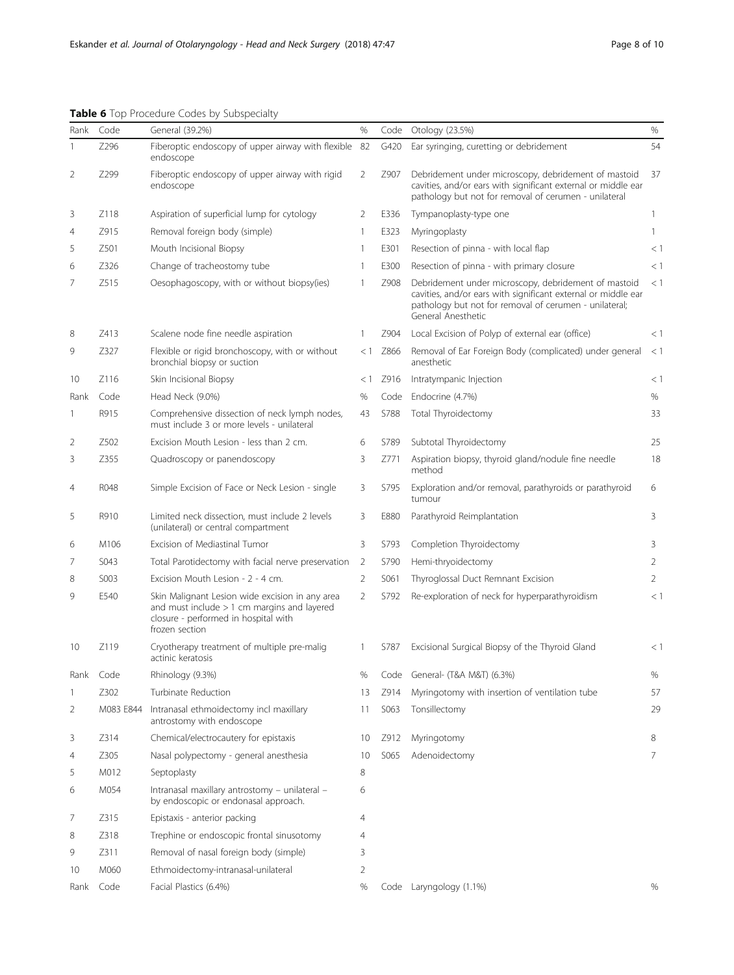| Rank           | Code      | General (39.2%)                                                                                                                                           | %              | Code        | Otology (23.5%)                                                                                                                                                                                       | %              |
|----------------|-----------|-----------------------------------------------------------------------------------------------------------------------------------------------------------|----------------|-------------|-------------------------------------------------------------------------------------------------------------------------------------------------------------------------------------------------------|----------------|
|                | Z296      | Fiberoptic endoscopy of upper airway with flexible<br>endoscope                                                                                           | -82            | G420        | Ear syringing, curetting or debridement                                                                                                                                                               | 54             |
| 2              | Z299      | Fiberoptic endoscopy of upper airway with rigid<br>endoscope                                                                                              | 2              | Z907        | Debridement under microscopy, debridement of mastoid<br>cavities, and/or ears with significant external or middle ear<br>pathology but not for removal of cerumen - unilateral                        | 37             |
| 3              | Z118      | Aspiration of superficial lump for cytology                                                                                                               | 2              | E336        | Tympanoplasty-type one                                                                                                                                                                                | 1              |
| 4              | Z915      | Removal foreign body (simple)                                                                                                                             | $\mathbf{1}$   | E323        | Myringoplasty                                                                                                                                                                                         | $\mathbf{1}$   |
| 5              | Z501      | Mouth Incisional Biopsy                                                                                                                                   | 1              | E301        | Resection of pinna - with local flap                                                                                                                                                                  | < 1            |
| 6              | Z326      | Change of tracheostomy tube                                                                                                                               | 1              | E300        | Resection of pinna - with primary closure                                                                                                                                                             | < 1            |
| 7              | Z515      | Oesophagoscopy, with or without biopsy(ies)                                                                                                               | 1              | Z908        | Debridement under microscopy, debridement of mastoid<br>cavities, and/or ears with significant external or middle ear<br>pathology but not for removal of cerumen - unilateral;<br>General Anesthetic | $<$ 1          |
| 8              | Z413      | Scalene node fine needle aspiration                                                                                                                       | 1              | Z904        | Local Excision of Polyp of external ear (office)                                                                                                                                                      | < 1            |
| 9              | Z327      | Flexible or rigid bronchoscopy, with or without<br>bronchial biopsy or suction                                                                            | $\leq$ 1       | Z866        | Removal of Ear Foreign Body (complicated) under general<br>anesthetic                                                                                                                                 | $\leq$ 1       |
| 10             | Z116      | Skin Incisional Biopsy                                                                                                                                    | < 1            | Z916        | Intratympanic Injection                                                                                                                                                                               | < 1            |
| Rank           | Code      | Head Neck (9.0%)                                                                                                                                          | %              | Code        | Endocrine (4.7%)                                                                                                                                                                                      | %              |
| -1             | R915      | Comprehensive dissection of neck lymph nodes,<br>must include 3 or more levels - unilateral                                                               | 43             | <b>S788</b> | Total Thyroidectomy                                                                                                                                                                                   | 33             |
| 2              | Z502      | Excision Mouth Lesion - less than 2 cm.                                                                                                                   | 6              | S789        | Subtotal Thyroidectomy                                                                                                                                                                                | 25             |
| 3              | Z355      | Quadroscopy or panendoscopy                                                                                                                               | 3              | Z771        | Aspiration biopsy, thyroid gland/nodule fine needle<br>method                                                                                                                                         | 18             |
| $\overline{4}$ | R048      | Simple Excision of Face or Neck Lesion - single                                                                                                           | 3              | S795        | Exploration and/or removal, parathyroids or parathyroid<br>tumour                                                                                                                                     | 6              |
| 5              | R910      | Limited neck dissection, must include 2 levels<br>(unilateral) or central compartment                                                                     | 3              | E880        | Parathyroid Reimplantation                                                                                                                                                                            | 3              |
| 6              | M106      | Excision of Mediastinal Tumor                                                                                                                             | 3              | S793        | Completion Thyroidectomy                                                                                                                                                                              | 3              |
| 7              | S043      | Total Parotidectomy with facial nerve preservation                                                                                                        | 2              | S790        | Hemi-thryoidectomy                                                                                                                                                                                    | $\overline{2}$ |
| 8              | S003      | Excision Mouth Lesion - 2 - 4 cm.                                                                                                                         | $\overline{2}$ | S061        | Thyroglossal Duct Remnant Excision                                                                                                                                                                    | 2              |
| 9              | E540      | Skin Malignant Lesion wide excision in any area<br>and must include $>1$ cm margins and layered<br>closure - performed in hospital with<br>frozen section | $\overline{2}$ | S792        | Re-exploration of neck for hyperparathyroidism                                                                                                                                                        | < 1            |
| 10             | Z119      | Cryotherapy treatment of multiple pre-malig<br>actinic keratosis                                                                                          | 1              | S787        | Excisional Surgical Biopsy of the Thyroid Gland                                                                                                                                                       | < 1            |
|                | Rank Code | Rhinology (9.3%)                                                                                                                                          | %              |             | Code General- (T&A M&T) (6.3%)                                                                                                                                                                        | %              |
| 1              | Z302      | Turbinate Reduction                                                                                                                                       | 13             | Z914        | Myringotomy with insertion of ventilation tube                                                                                                                                                        | 57             |
| 2              | M083 E844 | Intranasal ethmoidectomy incl maxillary<br>antrostomy with endoscope                                                                                      | 11             | S063        | Tonsillectomy                                                                                                                                                                                         | 29             |
| 3              | Z314      | Chemical/electrocautery for epistaxis                                                                                                                     | 10             | Z912        | Myringotomy                                                                                                                                                                                           | 8              |
| 4              | Z305      | Nasal polypectomy - general anesthesia                                                                                                                    | 10             | S065        | Adenoidectomy                                                                                                                                                                                         | 7              |
| 5              | M012      | Septoplasty                                                                                                                                               | 8              |             |                                                                                                                                                                                                       |                |
| 6              | M054      | Intranasal maxillary antrostomy - unilateral -<br>by endoscopic or endonasal approach.                                                                    | 6              |             |                                                                                                                                                                                                       |                |
| 7              | Z315      | Epistaxis - anterior packing                                                                                                                              | 4              |             |                                                                                                                                                                                                       |                |
| 8              | Z318      | Trephine or endoscopic frontal sinusotomy                                                                                                                 | 4              |             |                                                                                                                                                                                                       |                |
| 9              | Z311      | Removal of nasal foreign body (simple)                                                                                                                    | 3              |             |                                                                                                                                                                                                       |                |
| 10             | M060      | Ethmoidectomy-intranasal-unilateral                                                                                                                       | 2              |             |                                                                                                                                                                                                       |                |
| Rank           | Code      | Facial Plastics (6.4%)                                                                                                                                    | %              |             | Code Laryngology (1.1%)                                                                                                                                                                               | $\%$           |

## <span id="page-7-0"></span>Table 6 Top Procedure Codes by Subspecialty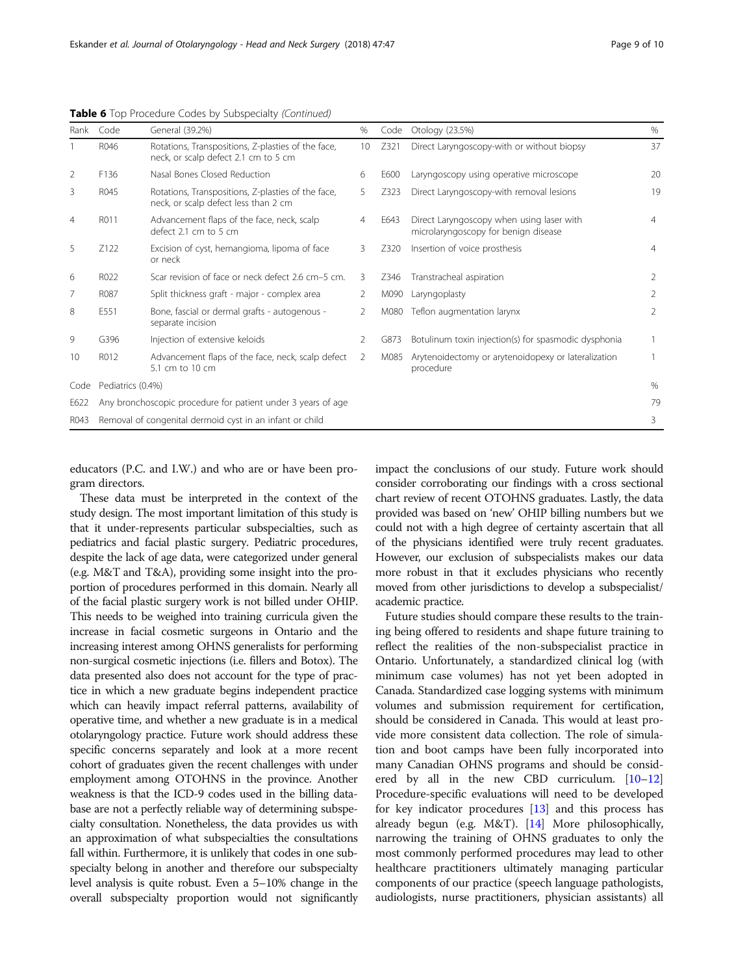educators (P.C. and I.W.) and who are or have been program directors.

These data must be interpreted in the context of the study design. The most important limitation of this study is that it under-represents particular subspecialties, such as pediatrics and facial plastic surgery. Pediatric procedures, despite the lack of age data, were categorized under general (e.g. M&T and T&A), providing some insight into the proportion of procedures performed in this domain. Nearly all of the facial plastic surgery work is not billed under OHIP. This needs to be weighed into training curricula given the increase in facial cosmetic surgeons in Ontario and the increasing interest among OHNS generalists for performing non-surgical cosmetic injections (i.e. fillers and Botox). The data presented also does not account for the type of practice in which a new graduate begins independent practice which can heavily impact referral patterns, availability of operative time, and whether a new graduate is in a medical otolaryngology practice. Future work should address these specific concerns separately and look at a more recent cohort of graduates given the recent challenges with under employment among OTOHNS in the province. Another weakness is that the ICD-9 codes used in the billing database are not a perfectly reliable way of determining subspecialty consultation. Nonetheless, the data provides us with an approximation of what subspecialties the consultations fall within. Furthermore, it is unlikely that codes in one subspecialty belong in another and therefore our subspecialty level analysis is quite robust. Even a 5–10% change in the overall subspecialty proportion would not significantly impact the conclusions of our study. Future work should consider corroborating our findings with a cross sectional chart review of recent OTOHNS graduates. Lastly, the data provided was based on 'new' OHIP billing numbers but we could not with a high degree of certainty ascertain that all of the physicians identified were truly recent graduates. However, our exclusion of subspecialists makes our data more robust in that it excludes physicians who recently moved from other jurisdictions to develop a subspecialist/ academic practice.

Future studies should compare these results to the training being offered to residents and shape future training to reflect the realities of the non-subspecialist practice in Ontario. Unfortunately, a standardized clinical log (with minimum case volumes) has not yet been adopted in Canada. Standardized case logging systems with minimum volumes and submission requirement for certification, should be considered in Canada. This would at least provide more consistent data collection. The role of simulation and boot camps have been fully incorporated into many Canadian OHNS programs and should be considered by all in the new CBD curriculum. [\[10](#page-9-0)–[12](#page-9-0)] Procedure-specific evaluations will need to be developed for key indicator procedures [\[13\]](#page-9-0) and this process has already begun (e.g. M&T). [[14](#page-9-0)] More philosophically, narrowing the training of OHNS graduates to only the most commonly performed procedures may lead to other healthcare practitioners ultimately managing particular components of our practice (speech language pathologists, audiologists, nurse practitioners, physician assistants) all

Table 6 Top Procedure Codes by Subspecialty (Continued)

| Rank | Code              | General (39.2%)                                                                            | $\%$            | Code | Otology (23.5%)                                                                   | $\%$ |
|------|-------------------|--------------------------------------------------------------------------------------------|-----------------|------|-----------------------------------------------------------------------------------|------|
|      | R046              | Rotations, Transpositions, Z-plasties of the face,<br>neck, or scalp defect 2.1 cm to 5 cm | 10 <sup>°</sup> | Z321 | Direct Laryngoscopy-with or without biopsy                                        | 37   |
| 2    | F136              | Nasal Bones Closed Reduction                                                               | 6               | E600 | Laryngoscopy using operative microscope                                           | 20   |
| 3    | R045              | Rotations, Transpositions, Z-plasties of the face,<br>neck, or scalp defect less than 2 cm | 5.              | Z323 | Direct Laryngoscopy-with removal lesions                                          | 19   |
| 4    | R <sub>011</sub>  | Advancement flaps of the face, neck, scalp<br>defect 2.1 cm to 5 cm                        | 4               | E643 | Direct Laryngoscopy when using laser with<br>microlaryngoscopy for benign disease | 4    |
| 5    | Z122              | Excision of cyst, hemangioma, lipoma of face<br>or neck                                    | 3               | Z320 | Insertion of voice prosthesis                                                     | 4    |
| 6    | R022              | Scar revision of face or neck defect 2.6 cm-5 cm.                                          | 3.              | Z346 | Transtracheal aspiration                                                          | 2    |
| 7    | R087              | Split thickness graft - major - complex area                                               | 2               | M090 | Laryngoplasty                                                                     | 2    |
| 8    | E551              | Bone, fascial or dermal grafts - autogenous -<br>separate incision                         | 2               | M080 | Teflon augmentation larynx                                                        | 2    |
| 9    | G396              | Injection of extensive keloids                                                             | 2               | G873 | Botulinum toxin injection(s) for spasmodic dysphonia                              |      |
| 10   | R012              | Advancement flaps of the face, neck, scalp defect<br>5.1 cm to 10 cm                       | 2               | M085 | Arytenoidectomy or arytenoidopexy or lateralization<br>procedure                  |      |
| Code | Pediatrics (0.4%) |                                                                                            |                 |      |                                                                                   | $\%$ |
| E622 |                   | Any bronchoscopic procedure for patient under 3 years of age                               |                 |      |                                                                                   | 79   |
| R043 |                   | Removal of congenital dermoid cyst in an infant or child                                   |                 |      |                                                                                   | 3    |